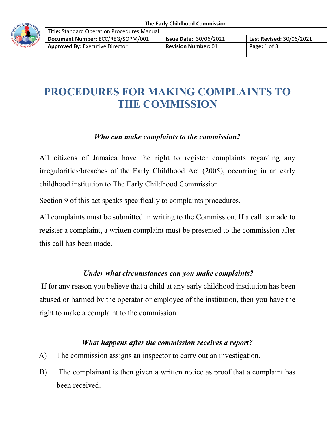

# **PROCEDURES FOR MAKING COMPLAINTS TO THE COMMISSION**

#### *Who can make complaints to the commission?*

All citizens of Jamaica have the right to register complaints regarding any irregularities/breaches of the Early Childhood Act (2005), occurring in an early childhood institution to The Early Childhood Commission.

Section 9 of this act speaks specifically to complaints procedures.

All complaints must be submitted in writing to the Commission. If a call is made to register a complaint, a written complaint must be presented to the commission after this call has been made.

#### *Under what circumstances can you make complaints?*

If for any reason you believe that a child at any early childhood institution has been abused or harmed by the operator or employee of the institution, then you have the right to make a complaint to the commission.

#### *What happens after the commission receives a report?*

- A) The commission assigns an inspector to carry out an investigation.
- B) The complainant is then given a written notice as proof that a complaint has been received.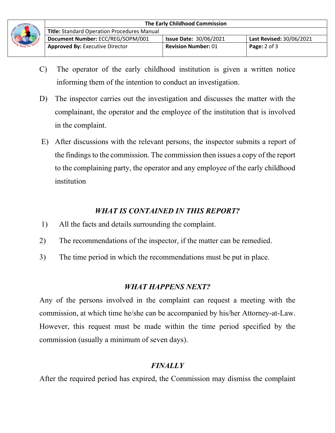

- C) The operator of the early childhood institution is given a written notice informing them of the intention to conduct an investigation.
- D) The inspector carries out the investigation and discusses the matter with the complainant, the operator and the employee of the institution that is involved in the complaint.
- E) After discussions with the relevant persons, the inspector submits a report of the findings to the commission. The commission then issues a copy of the report to the complaining party, the operator and any employee of the early childhood institution

### *WHAT IS CONTAINED IN THIS REPORT?*

- 1) All the facts and details surrounding the complaint.
- 2) The recommendations of the inspector, if the matter can be remedied.
- 3) The time period in which the recommendations must be put in place.

## *WHAT HAPPENS NEXT?*

Any of the persons involved in the complaint can request a meeting with the commission, at which time he/she can be accompanied by his/her Attorney-at-Law. However, this request must be made within the time period specified by the commission (usually a minimum of seven days).

## *FINALLY*

After the required period has expired, the Commission may dismiss the complaint